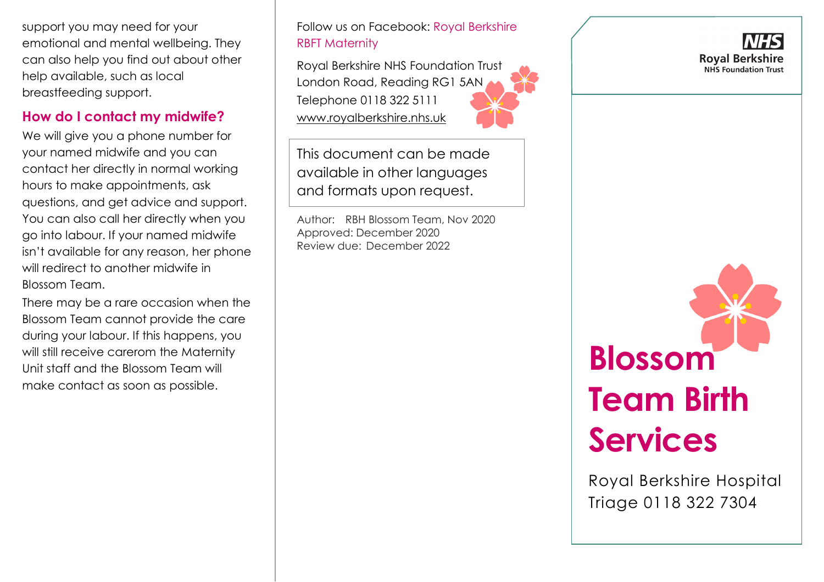support you may need for your emotional and mental wellbeing. They can also help you find out about other help available, such as local breastfeeding support.

## **How do I contact my midwife?**

We will give you a phone number for your named midwife and you can contact her directly in normal working hours to make appointments, ask questions, and get advice and support. You can also call her directly when you go into labour. If your named midwife isn't available for any reason, her phone will redirect to another midwife in Blossom Team.

There may be a rare occasion when the Blossom Team cannot provide the care during your labour. If this happens, you will still receive carerom the Maternity Unit staff and the Blossom Team will make contact as soon as possible.

Follow us on Facebook: Royal Berkshire RBFT Maternity

Royal Berkshire NHS Foundation Trust London Road, Reading RG1 5AN Telephone 0118 322 5111 [www.royalberkshire.nhs.uk](http://www.royalberkshire.nhs.uk/)

This document can be made available in other languages and formats upon request.

Author: RBH Blossom Team, Nov 2020 Approved: December 2020 Review due: December 2022





Royal Berkshire Hospital Triage 0118 322 7304